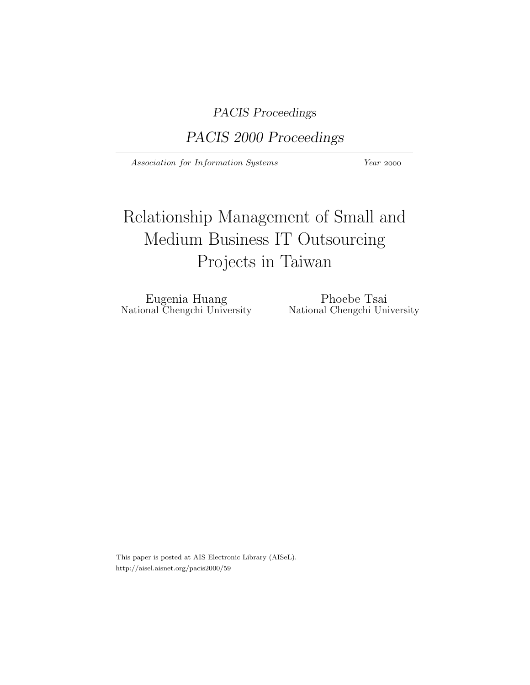PACIS Proceedings

PACIS 2000 Proceedings

Association for Information Systems Year 2000

# Relationship Management of Small and Medium Business IT Outsourcing Projects in Taiwan

National Chengchi University

Eugenia Huang Phoebe Tsai<br>
nal Chengchi University National Chengchi University

This paper is posted at AIS Electronic Library (AISeL). http://aisel.aisnet.org/pacis2000/59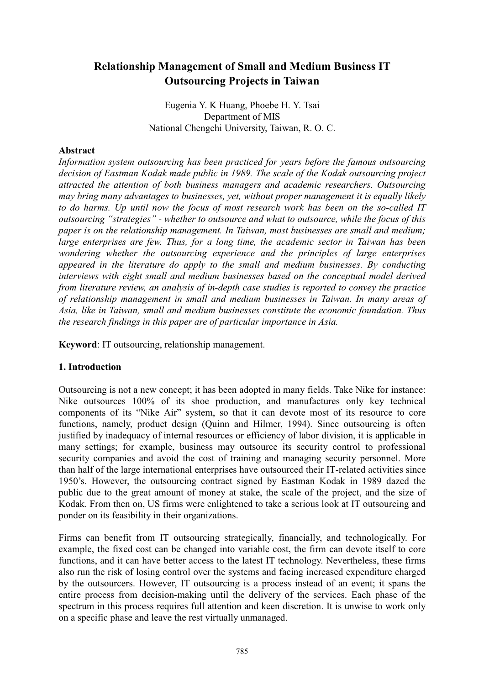# **Relationship Management of Small and Medium Business IT Outsourcing Projects in Taiwan**

Eugenia Y. K Huang, Phoebe H. Y. Tsai Department of MIS National Chengchi University, Taiwan, R. O. C.

#### **Abstract**

Information system outsourcing has been practiced for years before the famous outsourcing decision of Eastman Kodak made public in 1989. The scale of the Kodak outsourcing project attracted the attention of both business managers and academic researchers. Outsourcing may bring many advantages to businesses, yet, without proper management it is equally likely to do harms. Up until now the focus of most research work has been on the so-called IT outsourcing "strategies" - whether to outsource and what to outsource, while the focus of this paper is on the relationship management. In Taiwan, most businesses are small and medium; large enterprises are few. Thus, for a long time, the academic sector in Taiwan has been wondering whether the outsourcing experience and the principles of large enterprises appeared in the literature do apply to the small and medium businesses. By conducting interviews with eight small and medium businesses based on the conceptual model derived from literature review, an analysis of in-depth case studies is reported to convey the practice of relationship management in small and medium businesses in Taiwan. In many areas of Asia, like in Taiwan, small and medium businesses constitute the economic foundation. Thus the research findings in this paper are of particular importance in Asia.

**Keyword:** IT outsourcing, relationship management.

#### 1. Introduction

Outsourcing is not a new concept; it has been adopted in many fields. Take Nike for instance: Nike outsources 100% of its shoe production, and manufactures only key technical components of its "Nike Air" system, so that it can devote most of its resource to core functions, namely, product design (Quinn and Hilmer, 1994). Since outsourcing is often justified by inadequacy of internal resources or efficiency of labor division, it is applicable in many settings; for example, business may outsource its security control to professional security companies and avoid the cost of training and managing security personnel. More than half of the large international enterprises have outsourced their IT-related activities since 1950's. However, the outsourcing contract signed by Eastman Kodak in 1989 dazed the public due to the great amount of money at stake, the scale of the project, and the size of Kodak. From then on, US firms were enlightened to take a serious look at IT outsourcing and ponder on its feasibility in their organizations.

Firms can benefit from IT outsourcing strategically, financially, and technologically. For example, the fixed cost can be changed into variable cost, the firm can devote itself to core functions, and it can have better access to the latest IT technology. Nevertheless, these firms also run the risk of losing control over the systems and facing increased expenditure charged by the outsourcers. However, IT outsourcing is a process instead of an event; it spans the entire process from decision-making until the delivery of the services. Each phase of the spectrum in this process requires full attention and keen discretion. It is unwise to work only on a specific phase and leave the rest virtually unmanaged.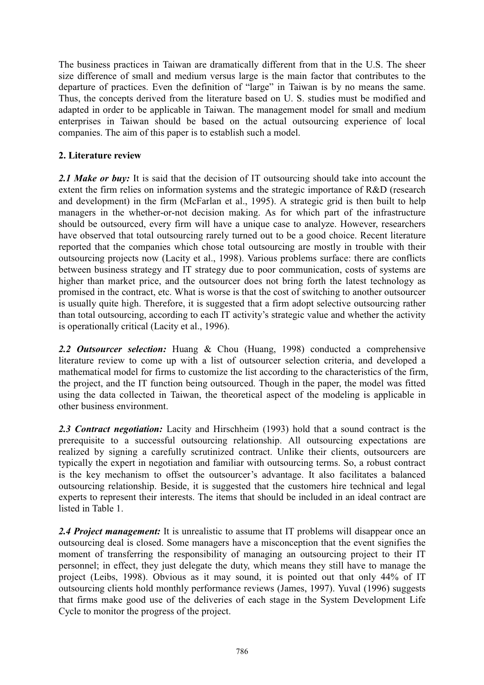The business practices in Taiwan are dramatically different from that in the U.S. The sheer size difference of small and medium versus large is the main factor that contributes to the departure of practices. Even the definition of "large" in Taiwan is by no means the same. Thus, the concepts derived from the literature based on U. S. studies must be modified and adapted in order to be applicable in Taiwan. The management model for small and medium enterprises in Taiwan should be based on the actual outsourcing experience of local companies. The aim of this paper is to establish such a model.

### 2. Literature review

2.1 Make or buy: It is said that the decision of IT outsourcing should take into account the extent the firm relies on information systems and the strategic importance of R&D (research and development) in the firm (McFarlan et al., 1995). A strategic grid is then built to help managers in the whether-or-not decision making. As for which part of the infrastructure should be outsourced, every firm will have a unique case to analyze. However, researchers have observed that total outsourcing rarely turned out to be a good choice. Recent literature reported that the companies which chose total outsourcing are mostly in trouble with their outsourcing projects now (Lacity et al., 1998). Various problems surface: there are conflicts between business strategy and IT strategy due to poor communication, costs of systems are higher than market price, and the outsourcer does not bring forth the latest technology as promised in the contract, etc. What is worse is that the cost of switching to another outsourcer is usually quite high. Therefore, it is suggested that a firm adopt selective outsourcing rather than total outsourcing, according to each IT activity's strategic value and whether the activity is operationally critical (Lacity et al., 1996).

2.2 Outsourcer selection: Huang & Chou (Huang, 1998) conducted a comprehensive literature review to come up with a list of outsourcer selection criteria, and developed a mathematical model for firms to customize the list according to the characteristics of the firm, the project, and the IT function being outsourced. Though in the paper, the model was fitted using the data collected in Taiwan, the theoretical aspect of the modeling is applicable in other business environment.

2.3 Contract negotiation: Lacity and Hirschheim (1993) hold that a sound contract is the prerequisite to a successful outsourcing relationship. All outsourcing expectations are realized by signing a carefully scrutinized contract. Unlike their clients, outsourcers are typically the expert in negotiation and familiar with outsourcing terms. So, a robust contract is the key mechanism to offset the outsourcer's advantage. It also facilitates a balanced outsourcing relationship. Beside, it is suggested that the customers hire technical and legal experts to represent their interests. The items that should be included in an ideal contract are listed in Table 1.

2.4 Project management: It is unrealistic to assume that IT problems will disappear once an outsourcing deal is closed. Some managers have a misconception that the event signifies the moment of transferring the responsibility of managing an outsourcing project to their IT personnel; in effect, they just delegate the duty, which means they still have to manage the project (Leibs, 1998). Obvious as it may sound, it is pointed out that only 44% of IT outsourcing clients hold monthly performance reviews (James, 1997). Yuval (1996) suggests that firms make good use of the deliveries of each stage in the System Development Life Cycle to monitor the progress of the project.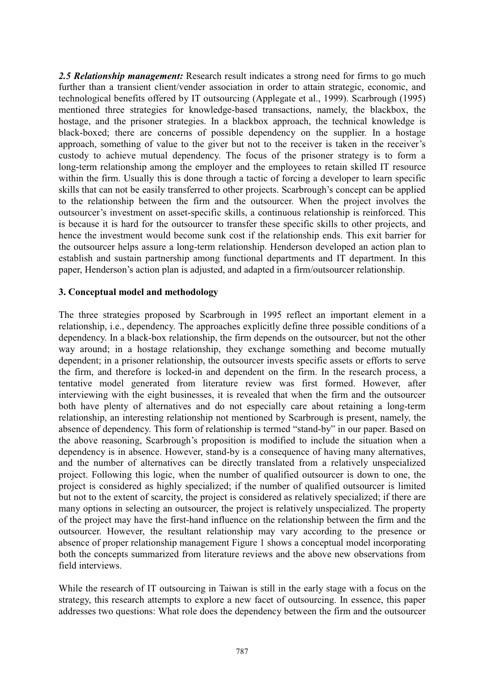2.5 Relationship management: Research result indicates a strong need for firms to go much further than a transient client/vender association in order to attain strategic, economic, and technological benefits offered by IT outsourcing (Applegate et al., 1999). Scarbrough (1995) mentioned three strategies for knowledge-based transactions, namely, the blackbox, the hostage, and the prisoner strategies. In a blackbox approach, the technical knowledge is black-boxed; there are concerns of possible dependency on the supplier. In a hostage approach, something of value to the giver but not to the receiver is taken in the receiver's custody to achieve mutual dependency. The focus of the prisoner strategy is to form a long-term relationship among the employer and the employees to retain skilled IT resource within the firm. Usually this is done through a tactic of forcing a developer to learn specific skills that can not be easily transferred to other projects. Scarbrough's concept can be applied to the relationship between the firm and the outsourcer. When the project involves the outsourcer's investment on asset-specific skills, a continuous relationship is reinforced. This is because it is hard for the outsourcer to transfer these specific skills to other projects, and hence the investment would become sunk cost if the relationship ends. This exit barrier for the outsourcer helps assure a long-term relationship. Henderson developed an action plan to establish and sustain partnership among functional departments and IT department. In this paper, Henderson's action plan is adjusted, and adapted in a firm/outsourcer relationship.

#### 3. Conceptual model and methodology

The three strategies proposed by Scarbrough in 1995 reflect an important element in a relationship, i.e., dependency. The approaches explicitly define three possible conditions of a dependency. In a black-box relationship, the firm depends on the outsourcer, but not the other way around; in a hostage relationship, they exchange something and become mutually dependent; in a prisoner relationship, the outsourcer invests specific assets or efforts to serve the firm, and therefore is locked-in and dependent on the firm. In the research process, a tentative model generated from literature review was first formed. However, after interviewing with the eight businesses, it is revealed that when the firm and the outsourcer both have plenty of alternatives and do not especially care about retaining a long-term relationship, an interesting relationship not mentioned by Scarbrough is present, namely, the absence of dependency. This form of relationship is termed "stand-by" in our paper. Based on the above reasoning, Scarbrough's proposition is modified to include the situation when a dependency is in absence. However, stand-by is a consequence of having many alternatives, and the number of alternatives can be directly translated from a relatively unspecialized project. Following this logic, when the number of qualified outsourcer is down to one, the project is considered as highly specialized: if the number of qualified outsourcer is limited but not to the extent of scarcity, the project is considered as relatively specialized; if there are many options in selecting an outsourcer, the project is relatively unspecialized. The property of the project may have the first-hand influence on the relationship between the firm and the outsourcer. However, the resultant relationship may vary according to the presence or absence of proper relationship management Figure 1 shows a conceptual model incorporating both the concepts summarized from literature reviews and the above new observations from field interviews.

While the research of IT outsourcing in Taiwan is still in the early stage with a focus on the strategy, this research attempts to explore a new facet of outsourcing. In essence, this paper addresses two questions: What role does the dependency between the firm and the outsourcer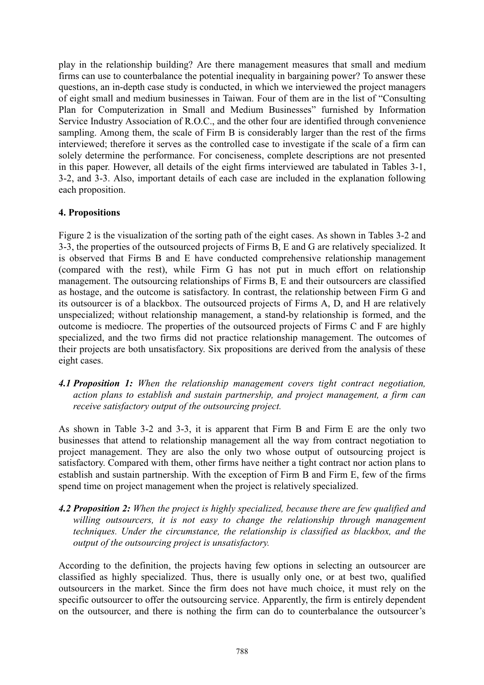play in the relationship building? Are there management measures that small and medium firms can use to counterbalance the potential inequality in bargaining power? To answer these questions, an in-depth case study is conducted, in which we interviewed the project managers of eight small and medium businesses in Taiwan. Four of them are in the list of "Consulting" Plan for Computerization in Small and Medium Businesses" furnished by Information Service Industry Association of R.O.C., and the other four are identified through convenience sampling. Among them, the scale of Firm B is considerably larger than the rest of the firms interviewed; therefore it serves as the controlled case to investigate if the scale of a firm can solely determine the performance. For conciseness, complete descriptions are not presented in this paper. However, all details of the eight firms interviewed are tabulated in Tables 3-1, 3-2, and 3-3. Also, important details of each case are included in the explanation following each proposition.

#### **4. Propositions**

Figure 2 is the visualization of the sorting path of the eight cases. As shown in Tables 3-2 and 3-3, the properties of the outsourced projects of Firms B. E and G are relatively specialized. It is observed that Firms B and E have conducted comprehensive relationship management (compared with the rest), while Firm G has not put in much effort on relationship management. The outsourcing relationships of Firms B, E and their outsourcers are classified as hostage, and the outcome is satisfactory. In contrast, the relationship between Firm G and its outsourcer is of a blackbox. The outsourced projects of Firms A, D, and H are relatively unspecialized; without relationship management, a stand-by relationship is formed, and the outcome is mediocre. The properties of the outsourced projects of Firms C and F are highly specialized, and the two firms did not practice relationship management. The outcomes of their projects are both unsatisfactory. Six propositions are derived from the analysis of these eight cases.

4.1 Proposition 1: When the relationship management covers tight contract negotiation, action plans to establish and sustain partnership, and project management, a firm can receive satisfactory output of the outsourcing project.

As shown in Table 3-2 and 3-3, it is apparent that Firm B and Firm E are the only two businesses that attend to relationship management all the way from contract negotiation to project management. They are also the only two whose output of outsourcing project is satisfactory. Compared with them, other firms have neither a tight contract nor action plans to establish and sustain partnership. With the exception of Firm B and Firm E, few of the firms spend time on project management when the project is relatively specialized.

4.2 Proposition 2: When the project is highly specialized, because there are few qualified and willing outsourcers, it is not easy to change the relationship through management techniques. Under the circumstance, the relationship is classified as blackbox, and the output of the outsourcing project is unsatisfactory.

According to the definition, the projects having few options in selecting an outsourcer are classified as highly specialized. Thus, there is usually only one, or at best two, qualified outsourcers in the market. Since the firm does not have much choice, it must rely on the specific outsourcer to offer the outsourcing service. Apparently, the firm is entirely dependent on the outsourcer, and there is nothing the firm can do to counterbalance the outsourcer's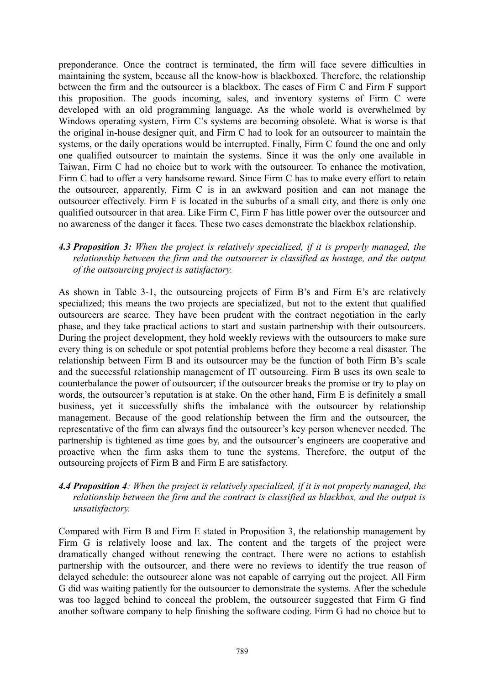preponderance. Once the contract is terminated, the firm will face severe difficulties in maintaining the system, because all the know-how is blackboxed. Therefore, the relationship between the firm and the outsourcer is a blackbox. The cases of Firm C and Firm F support this proposition. The goods incoming, sales, and inventory systems of Firm C were developed with an old programming language. As the whole world is overwhelmed by Windows operating system, Firm C's systems are becoming obsolete. What is worse is that the original in-house designer quit, and Firm C had to look for an outsourcer to maintain the systems, or the daily operations would be interrupted. Finally, Firm C found the one and only one qualified outsourcer to maintain the systems. Since it was the only one available in Taiwan. Firm C had no choice but to work with the outsourcer. To enhance the motivation. Firm C had to offer a very handsome reward. Since Firm C has to make every effort to retain the outsourcer, apparently, Firm C is in an awkward position and can not manage the outsourcer effectively. Firm F is located in the suburbs of a small city, and there is only one qualified outsourcer in that area. Like Firm C, Firm F has little power over the outsourcer and no awareness of the danger it faces. These two cases demonstrate the blackbox relationship.

#### 4.3 Proposition 3: When the project is relatively specialized, if it is properly managed, the relationship between the firm and the outsourcer is classified as hostage, and the output of the outsourcing project is satisfactory.

As shown in Table 3-1, the outsourcing projects of Firm B's and Firm E's are relatively specialized; this means the two projects are specialized, but not to the extent that qualified outsourcers are scarce. They have been prudent with the contract negotiation in the early phase, and they take practical actions to start and sustain partnership with their outsourcers. During the project development, they hold weekly reviews with the outsourcers to make sure every thing is on schedule or spot potential problems before they become a real disaster. The relationship between Firm B and its outsourcer may be the function of both Firm B's scale and the successful relationship management of IT outsourcing. Firm B uses its own scale to counterbalance the power of outsourcer; if the outsourcer breaks the promise or try to play on words, the outsourcer's reputation is at stake. On the other hand, Firm E is definitely a small business, yet it successfully shifts the imbalance with the outsourcer by relationship management. Because of the good relationship between the firm and the outsourcer, the representative of the firm can always find the outsourcer's key person whenever needed. The partnership is tightened as time goes by, and the outsourcer's engineers are cooperative and proactive when the firm asks them to tune the systems. Therefore, the output of the outsourcing projects of Firm B and Firm E are satisfactory.

#### 4.4 Proposition 4: When the project is relatively specialized, if it is not properly managed, the relationship between the firm and the contract is classified as blackbox, and the output is unsatisfactory.

Compared with Firm B and Firm E stated in Proposition 3, the relationship management by Firm G is relatively loose and lax. The content and the targets of the project were dramatically changed without renewing the contract. There were no actions to establish partnership with the outsourcer, and there were no reviews to identify the true reason of delayed schedule: the outsourcer alone was not capable of carrying out the project. All Firm G did was waiting patiently for the outsourcer to demonstrate the systems. After the schedule was too lagged behind to conceal the problem, the outsourcer suggested that Firm G find another software company to help finishing the software coding. Firm G had no choice but to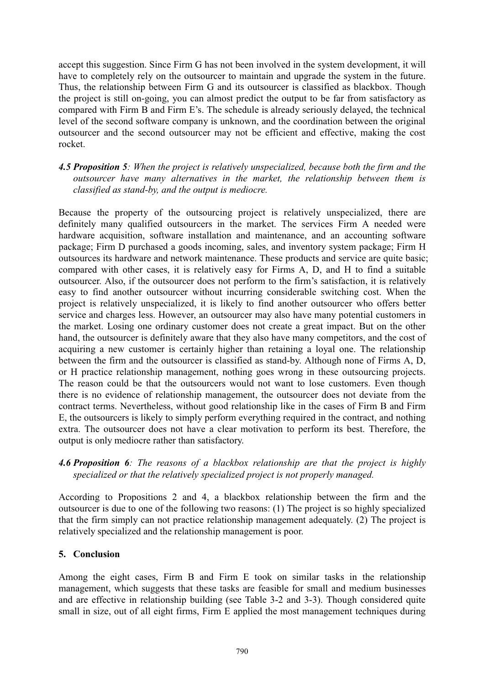accept this suggestion. Since Firm G has not been involved in the system development, it will have to completely rely on the outsourcer to maintain and upgrade the system in the future. Thus, the relationship between Firm G and its outsourcer is classified as blackbox. Though the project is still on-going, you can almost predict the output to be far from satisfactory as compared with Firm B and Firm E's. The schedule is already seriously delayed, the technical level of the second software company is unknown, and the coordination between the original outsourcer and the second outsourcer may not be efficient and effective, making the cost rocket.

#### 4.5 Proposition 5: When the project is relatively unspecialized, because both the firm and the outsourcer have many alternatives in the market, the relationship between them is classified as stand-by, and the output is mediocre.

Because the property of the outsourcing project is relatively unspecialized, there are definitely many qualified outsourcers in the market. The services Firm A needed were hardware acquisition, software installation and maintenance, and an accounting software package; Firm D purchased a goods incoming, sales, and inventory system package; Firm H outsources its hardware and network maintenance. These products and service are quite basic; compared with other cases, it is relatively easy for Firms A, D, and H to find a suitable outsourcer. Also, if the outsourcer does not perform to the firm's satisfaction, it is relatively easy to find another outsourcer without incurring considerable switching cost. When the project is relatively unspecialized, it is likely to find another outsourcer who offers better service and charges less. However, an outsourcer may also have many potential customers in the market. Losing one ordinary customer does not create a great impact. But on the other hand, the outsourcer is definitely aware that they also have many competitors, and the cost of acquiring a new customer is certainly higher than retaining a loyal one. The relationship between the firm and the outsourcer is classified as stand-by. Although none of Firms A, D, or H practice relationship management, nothing goes wrong in these outsourcing projects. The reason could be that the outsourcers would not want to lose customers. Even though there is no evidence of relationship management, the outsourcer does not deviate from the contract terms. Nevertheless, without good relationship like in the cases of Firm B and Firm E, the outsourcers is likely to simply perform everything required in the contract, and nothing extra. The outsourcer does not have a clear motivation to perform its best. Therefore, the output is only mediocre rather than satisfactory.

#### 4.6 Proposition 6: The reasons of a blackbox relationship are that the project is highly specialized or that the relatively specialized project is not properly managed.

According to Propositions 2 and 4, a blackbox relationship between the firm and the outsourcer is due to one of the following two reasons: (1) The project is so highly specialized that the firm simply can not practice relationship management adequately. (2) The project is relatively specialized and the relationship management is poor.

#### 5. Conclusion

Among the eight cases, Firm B and Firm E took on similar tasks in the relationship management, which suggests that these tasks are feasible for small and medium businesses and are effective in relationship building (see Table 3-2 and 3-3). Though considered quite small in size, out of all eight firms, Firm E applied the most management techniques during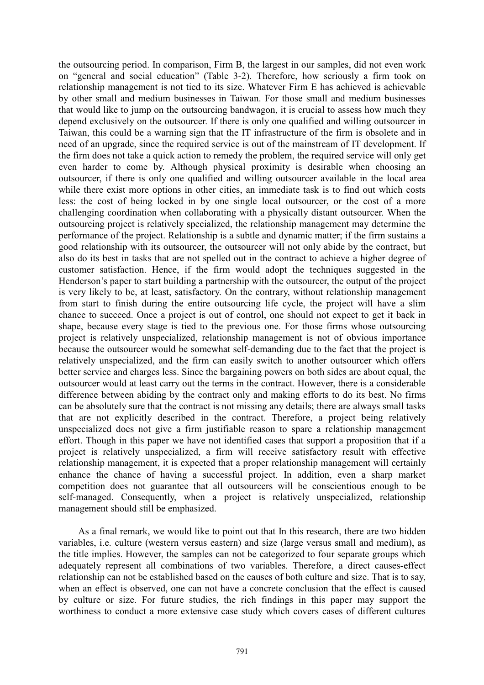the outsourcing period. In comparison, Firm B, the largest in our samples, did not even work on "general and social education" (Table 3-2). Therefore, how seriously a firm took on relationship management is not tied to its size. Whatever Firm E has achieved is achievable by other small and medium businesses in Taiwan. For those small and medium businesses that would like to jump on the outsourcing bandwagon, it is crucial to assess how much they depend exclusively on the outsourcer. If there is only one qualified and willing outsourcer in Taiwan, this could be a warning sign that the IT infrastructure of the firm is obsolete and in need of an upgrade, since the required service is out of the mainstream of IT development. If the firm does not take a quick action to remedy the problem, the required service will only get even harder to come by. Although physical proximity is desirable when choosing an outsourcer, if there is only one qualified and willing outsourcer available in the local area while there exist more options in other cities, an immediate task is to find out which costs less: the cost of being locked in by one single local outsourcer, or the cost of a more challenging coordination when collaborating with a physically distant outsourcer. When the outsourcing project is relatively specialized, the relationship management may determine the performance of the project. Relationship is a subtle and dynamic matter; if the firm sustains a good relationship with its outsourcer, the outsourcer will not only abide by the contract, but also do its best in tasks that are not spelled out in the contract to achieve a higher degree of customer satisfaction. Hence, if the firm would adopt the techniques suggested in the Henderson's paper to start building a partnership with the outsourcer, the output of the project is very likely to be, at least, satisfactory. On the contrary, without relationship management from start to finish during the entire outsourcing life cycle, the project will have a slim chance to succeed. Once a project is out of control, one should not expect to get it back in shape, because every stage is tied to the previous one. For those firms whose outsourcing project is relatively unspecialized, relationship management is not of obvious importance because the outsourcer would be somewhat self-demanding due to the fact that the project is relatively unspecialized, and the firm can easily switch to another outsourcer which offers better service and charges less. Since the bargaining powers on both sides are about equal, the outsourcer would at least carry out the terms in the contract. However, there is a considerable difference between abiding by the contract only and making efforts to do its best. No firms can be absolutely sure that the contract is not missing any details; there are always small tasks that are not explicitly described in the contract. Therefore, a project being relatively unspecialized does not give a firm justifiable reason to spare a relationship management effort. Though in this paper we have not identified cases that support a proposition that if a project is relatively unspecialized, a firm will receive satisfactory result with effective relationship management, it is expected that a proper relationship management will certainly enhance the chance of having a successful project. In addition, even a sharp market competition does not guarantee that all outsourcers will be conscientious enough to be self-managed. Consequently, when a project is relatively unspecialized, relationship management should still be emphasized.

As a final remark, we would like to point out that In this research, there are two hidden variables, *i.e.* culture (western versus eastern) and size (large versus small and medium), as the title implies. However, the samples can not be categorized to four separate groups which adequately represent all combinations of two variables. Therefore, a direct causes-effect relationship can not be established based on the causes of both culture and size. That is to say, when an effect is observed, one can not have a concrete conclusion that the effect is caused by culture or size. For future studies, the rich findings in this paper may support the worthiness to conduct a more extensive case study which covers cases of different cultures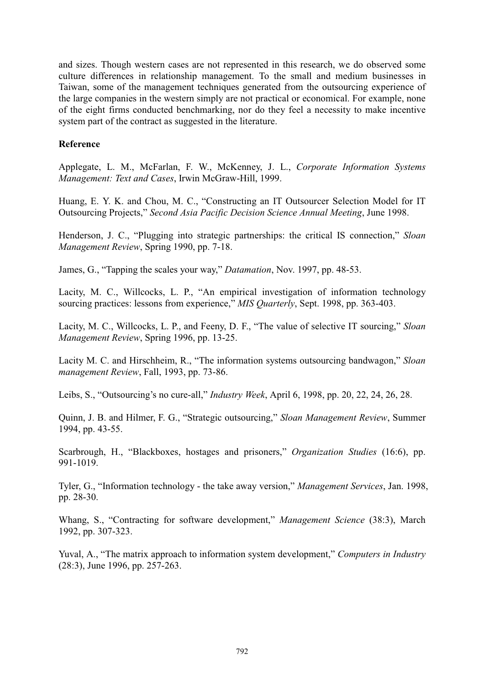and sizes. Though western cases are not represented in this research, we do observed some culture differences in relationship management. To the small and medium businesses in Taiwan, some of the management techniques generated from the outsourcing experience of the large companies in the western simply are not practical or economical. For example, none of the eight firms conducted benchmarking, nor do they feel a necessity to make incentive system part of the contract as suggested in the literature.

#### **Reference**

Applegate, L. M., McFarlan, F. W., McKenney, J. L., Corporate Information Systems Management: Text and Cases, Irwin McGraw-Hill, 1999.

Huang, E. Y. K. and Chou, M. C., "Constructing an IT Outsourcer Selection Model for IT Outsourcing Projects," Second Asia Pacific Decision Science Annual Meeting, June 1998.

Henderson, J. C., "Plugging into strategic partnerships: the critical IS connection," Sloan Management Review, Spring 1990, pp. 7-18.

James, G., "Tapping the scales your way," Datamation, Nov. 1997, pp. 48-53.

Lacity, M. C., Willcocks, L. P., "An empirical investigation of information technology sourcing practices: lessons from experience," MIS Quarterly, Sept. 1998, pp. 363-403.

Lacity, M. C., Willcocks, L. P., and Feeny, D. F., "The value of selective IT sourcing." Sloan Management Review, Spring 1996, pp. 13-25.

Lacity M. C. and Hirschheim, R., "The information systems outsourcing bandwagon," Sloan management Review, Fall, 1993, pp. 73-86.

Leibs, S., "Outsourcing's no cure-all," *Industry Week*, April 6, 1998, pp. 20, 22, 24, 26, 28.

Ouinn, J. B. and Hilmer, F. G., "Strategic outsourcing," Sloan Management Review, Summer 1994, pp. 43-55.

Scarbrough, H., "Blackboxes, hostages and prisoners," Organization Studies (16:6), pp. 991-1019.

Tyler, G., "Information technology - the take away version," Management Services, Jan. 1998, pp. 28-30.

Whang, S., "Contracting for software development," Management Science (38:3), March 1992, pp. 307-323.

Yuval, A., "The matrix approach to information system development," Computers in Industry  $(28:3)$ , June 1996, pp. 257-263.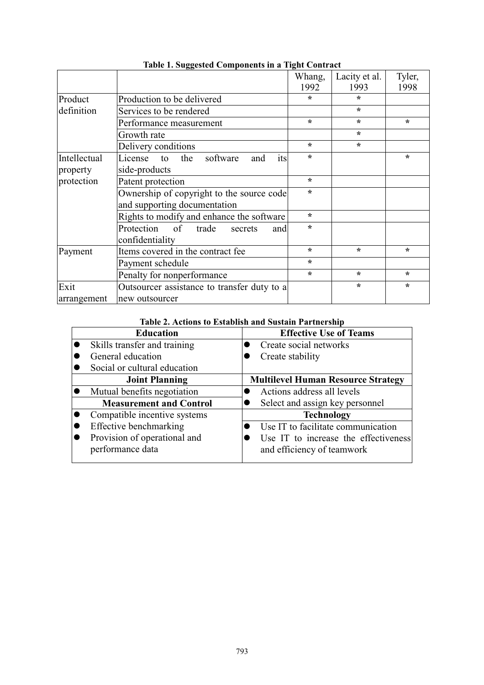|                          |                                                                           | Whang,  | Lacity et al. | Tyler,  |
|--------------------------|---------------------------------------------------------------------------|---------|---------------|---------|
|                          |                                                                           | 1992    | 1993          | 1998    |
| Product                  | Production to be delivered                                                | $\star$ | $\star$       |         |
| definition               | Services to be rendered                                                   |         | $\star$       |         |
|                          | Performance measurement                                                   | $\star$ | $\star$       | $\star$ |
|                          | Growth rate                                                               |         | $\star$       |         |
|                          | Delivery conditions                                                       | $\star$ | $\star$       |         |
| Intellectual<br>property | License<br>the<br>software<br>to<br>its<br>and<br>side-products           | $\star$ |               | $\star$ |
| protection               | Patent protection                                                         | $\star$ |               |         |
|                          | Ownership of copyright to the source code<br>and supporting documentation | $\star$ |               |         |
|                          | Rights to modify and enhance the software                                 | $\star$ |               |         |
|                          | Protection of<br>trade<br>secrets<br>and<br>confidentiality               | $\star$ |               |         |
| Payment                  | Items covered in the contract fee                                         | $\star$ | $\star$       | $\star$ |
|                          | Payment schedule                                                          | $\star$ |               |         |
|                          | Penalty for nonperformance                                                | $\star$ | $\star$       | $\star$ |
| Exit                     | Outsourcer assistance to transfer duty to a                               |         | $\star$       | $\star$ |
| arrangement              | new outsourcer                                                            |         |               |         |

Table 1. Suggested Components in a Tight Contract

## Table 2. Actions to Establish and Sustain Partnership

| <b>Education</b>               | <b>Effective Use of Teams</b>             |  |  |  |  |
|--------------------------------|-------------------------------------------|--|--|--|--|
| Skills transfer and training   | Create social networks                    |  |  |  |  |
| General education              | Create stability                          |  |  |  |  |
| Social or cultural education   |                                           |  |  |  |  |
| <b>Joint Planning</b>          | <b>Multilevel Human Resource Strategy</b> |  |  |  |  |
| Mutual benefits negotiation    | Actions address all levels                |  |  |  |  |
| <b>Measurement and Control</b> | Select and assign key personnel           |  |  |  |  |
| Compatible incentive systems   | <b>Technology</b>                         |  |  |  |  |
| Effective benchmarking         | Use IT to facilitate communication        |  |  |  |  |
| Provision of operational and   | Use IT to increase the effectiveness      |  |  |  |  |
| performance data               | and efficiency of teamwork                |  |  |  |  |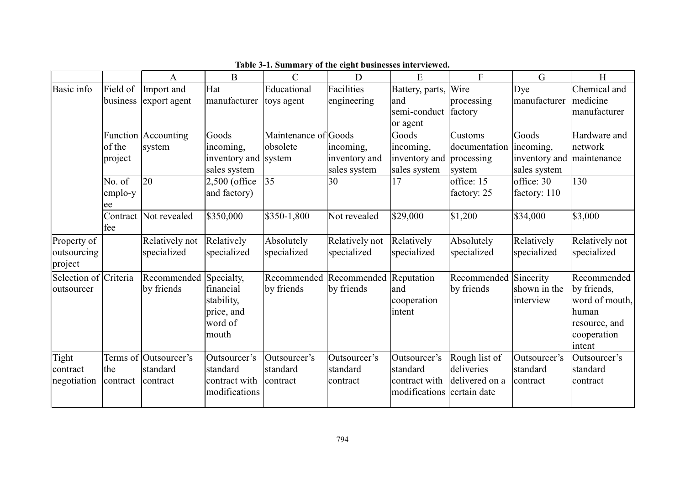|                                       |                 | A                                             | $\boldsymbol{B}$                                           | $\mathcal{C}$                        | D                                                | E                                                          | $\mathbf{F}$                                                  | G                                    | H                                                                                               |
|---------------------------------------|-----------------|-----------------------------------------------|------------------------------------------------------------|--------------------------------------|--------------------------------------------------|------------------------------------------------------------|---------------------------------------------------------------|--------------------------------------|-------------------------------------------------------------------------------------------------|
| <b>Basic</b> info                     | Field of        | Import and                                    | Hat                                                        | Educational                          | Facilities                                       | Battery, parts,                                            | Wire                                                          | Dye                                  | Chemical and                                                                                    |
|                                       | business        | export agent                                  | manufacturer                                               | toys agent                           | engineering                                      | and                                                        | processing                                                    | manufacturer                         | medicine                                                                                        |
|                                       |                 |                                               |                                                            |                                      |                                                  | semi-conduct factory                                       |                                                               |                                      | manufacturer                                                                                    |
|                                       |                 |                                               |                                                            |                                      |                                                  | or agent                                                   |                                                               |                                      |                                                                                                 |
|                                       |                 | Function Accounting                           | Goods                                                      | Maintenance of Goods                 |                                                  | Goods                                                      | <b>Customs</b>                                                | Goods                                | Hardware and                                                                                    |
|                                       | of the          | system                                        | incoming,                                                  | obsolete                             | incoming,                                        | incoming,                                                  | documentation                                                 | incoming,                            | network                                                                                         |
|                                       | project         |                                               | inventory and system                                       |                                      | inventory and                                    | inventory and processing                                   |                                                               | inventory and                        | maintenance                                                                                     |
|                                       |                 |                                               | sales system                                               |                                      | sales system                                     | sales system                                               | system                                                        | sales system                         |                                                                                                 |
|                                       | No. of          | 20                                            | $2,500$ (office                                            | 35                                   | 30                                               | 17                                                         | office: 15                                                    | office: 30                           | 130                                                                                             |
|                                       | emplo-y<br>ee   |                                               | and factory)                                               |                                      |                                                  |                                                            | factory: 25                                                   | factory: 110                         |                                                                                                 |
|                                       | fee             | Contract Not revealed                         | \$350,000                                                  | \$350-1,800                          | Not revealed                                     | \$29,000                                                   | \$1,200                                                       | \$34,000                             | \$3,000                                                                                         |
| Property of<br>outsourcing<br>project |                 | Relatively not<br>specialized                 | Relatively<br>specialized                                  | Absolutely<br>specialized            | Relatively not<br>specialized                    | Relatively<br>specialized                                  | Absolutely<br>specialized                                     | Relatively<br>specialized            | Relatively not<br>specialized                                                                   |
| Selection of Criteria<br>outsourcer   |                 | Recommended Specialty,<br>by friends          | financial<br>stability,<br>price, and<br>word of<br>mouth  | by friends                           | Recommended Recommended Reputation<br>by friends | and<br>cooperation<br>intent                               | Recommended Sincerity<br>by friends                           | shown in the<br>interview            | Recommended<br>by friends,<br>word of mouth,<br>human<br>resource, and<br>cooperation<br>intent |
| Tight<br>contract<br>negotiation      | the<br>contract | Terms of Outsourcer's<br>standard<br>contract | Outsourcer's<br>standard<br>contract with<br>modifications | Outsourcer's<br>standard<br>contract | Outsourcer's<br>standard<br>contract             | Outsourcer's<br>standard<br>contract with<br>modifications | Rough list of<br>deliveries<br>delivered on a<br>certain date | Outsourcer's<br>standard<br>contract | Outsourcer's<br>standard<br>contract                                                            |

#### Table 3-1. Summary of the eight businesses interviewed.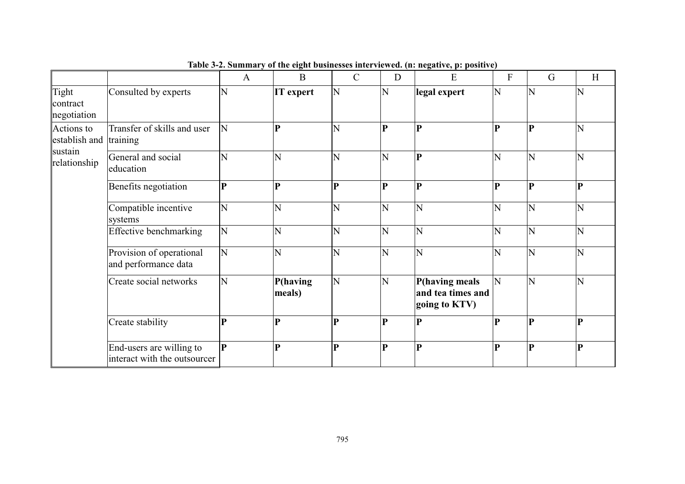|                                                                 |                                                          |             |                    |               |                | Table 3-2. Summary of the eight businesses interviewed. (n: negative, p: positive) |           |             |   |
|-----------------------------------------------------------------|----------------------------------------------------------|-------------|--------------------|---------------|----------------|------------------------------------------------------------------------------------|-----------|-------------|---|
|                                                                 |                                                          | A           | B                  | $\mathcal{C}$ | D              | E                                                                                  | ${\bf F}$ | G           | H |
| Tight<br>contract<br>negotiation                                | Consulted by experts                                     | N           | IT expert          | N             | N              | legal expert                                                                       | N         | N           | N |
| Actions to<br>establish and training<br>sustain<br>relationship | Transfer of skills and user                              | N           | Þ                  | N             | P              | $\mathbf{P}$                                                                       | D         | P           | N |
|                                                                 | General and social<br>education                          | Ñ           | Ń                  | N             | N              | P                                                                                  | N         | N           | N |
|                                                                 | Benefits negotiation                                     | P           | P                  | $\mathbf{P}$  | $\mathbf{P}$   | $\mathbf{P}$                                                                       | P         | $ {\bf p} $ | P |
|                                                                 | Compatible incentive<br>systems                          | N           | N                  | N             | N              | N                                                                                  | N         | N           | N |
|                                                                 | <b>Effective benchmarking</b>                            | N           | N                  | N             | $\overline{N}$ | N                                                                                  | Ñ         | N           | N |
|                                                                 | Provision of operational<br>and performance data         | N           | N                  | N             | N              | N                                                                                  | N         | N           | N |
|                                                                 | Create social networks                                   | N           | P(having<br>meals) | N             | N              | P(having meals<br>and tea times and<br>going to KTV)                               | N         | N           | N |
|                                                                 | Create stability                                         | P           | $\overline{P}$     | $\mathbf{P}$  | $\mathbf{P}$   | $\mathbf{P}$                                                                       | P         | $ {\bf p} $ | P |
|                                                                 | End-users are willing to<br>interact with the outsourcer | $\mathbf P$ | $\overline{P}$     | P             | $\mathbf{P}$   | $\mathbf{P}$                                                                       | $\bf{P}$  | <b>P</b>    | P |

Table 3-2. Summary of the eight businesses interviewed. (n: negative, p: positive)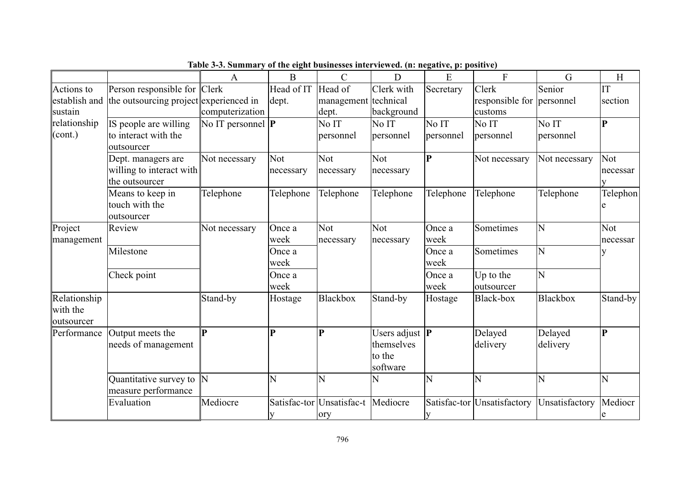|               |                                        | Table 5-5. Summary of the eight businesses interviewed. (ii: negative, p: positive) |              |                           |                             |             |                             |                 |          |
|---------------|----------------------------------------|-------------------------------------------------------------------------------------|--------------|---------------------------|-----------------------------|-------------|-----------------------------|-----------------|----------|
|               |                                        | A                                                                                   | B            | $\mathcal{C}$             | D                           | E           | F                           | G               | H        |
| Actions to    | Person responsible for Clerk           |                                                                                     | Head of IT   | Head of                   | Clerk with                  | Secretary   | Clerk                       | Senior          | IT       |
| establish and | the outsourcing project experienced in |                                                                                     | dept.        | management technical      |                             |             | responsible for             | personnel       | section  |
| sustain       |                                        | computerization                                                                     |              | dept.                     | background                  |             | customs                     |                 |          |
| relationship  | IS people are willing                  | No IT personnel $ P $                                                               |              | No IT                     | No IT                       | No IT       | No IT                       | No IT           | P        |
| (cont.)       | to interact with the                   |                                                                                     |              | personnel                 | personnel                   | personnel   | personnel                   | personnel       |          |
|               | outsourcer                             |                                                                                     |              |                           |                             |             |                             |                 |          |
|               | Dept. managers are                     | Not necessary                                                                       | <b>Not</b>   | Not                       | Not                         | $ {\bf P} $ | Not necessary               | Not necessary   | Not      |
|               | willing to interact with               |                                                                                     | necessary    | necessary                 | necessary                   |             |                             |                 | necessar |
|               | the outsourcer                         |                                                                                     |              |                           |                             |             |                             |                 | v        |
|               | Means to keep in                       | Telephone                                                                           | Telephone    | Telephone                 | Telephone                   | Telephone   | Telephone                   | Telephone       | Telephon |
|               | touch with the                         |                                                                                     |              |                           |                             |             |                             |                 |          |
|               | outsourcer                             |                                                                                     |              |                           |                             |             |                             |                 |          |
| Project       | Review                                 | Not necessary                                                                       | Once a       | <b>Not</b>                | <b>Not</b>                  | Once a      | Sometimes                   | N               | Not      |
| management    |                                        |                                                                                     | week         | necessary                 | necessary                   | week        |                             |                 | necessar |
|               | Milestone                              |                                                                                     | Once a       |                           |                             | Once a      | Sometimes                   | N               | у        |
|               |                                        |                                                                                     | week         |                           |                             | week        |                             |                 |          |
|               | Check point                            |                                                                                     | Once a       |                           |                             | Once a      | Up to the                   | N               |          |
|               |                                        |                                                                                     | week         |                           |                             | week        | outsourcer                  |                 |          |
| Relationship  |                                        | Stand-by                                                                            | Hostage      | Blackbox                  | Stand-by                    | Hostage     | Black-box                   | <b>Blackbox</b> | Stand-by |
| with the      |                                        |                                                                                     |              |                           |                             |             |                             |                 |          |
| outsourcer    |                                        |                                                                                     |              |                           |                             |             |                             |                 |          |
| Performance   | Output meets the                       | $\bf{P}$                                                                            | $\mathbf{P}$ | P                         | Users adjust $ \mathbf{P} $ |             | Delayed                     | Delayed         | P        |
|               | needs of management                    |                                                                                     |              |                           | themselves                  |             | delivery                    | delivery        |          |
|               |                                        |                                                                                     |              |                           | to the                      |             |                             |                 |          |
|               |                                        |                                                                                     |              |                           | software                    |             |                             |                 |          |
|               | Quantitative survey to $\ N\ $         |                                                                                     | Ń            | N                         | N                           | N           | N                           | Ń               | N        |
|               | measure performance                    |                                                                                     |              |                           |                             |             |                             |                 |          |
|               | Evaluation                             | Mediocre                                                                            |              | Satisfac-tor Unsatisfac-t | Mediocre                    |             | Satisfac-tor Unsatisfactory | Unsatisfactory  | Mediocr  |
|               |                                        |                                                                                     |              | ory                       |                             | y           |                             |                 | e        |

Table 3-3. Summary of the eight businesses interviewed. (n: negative, p: positive)